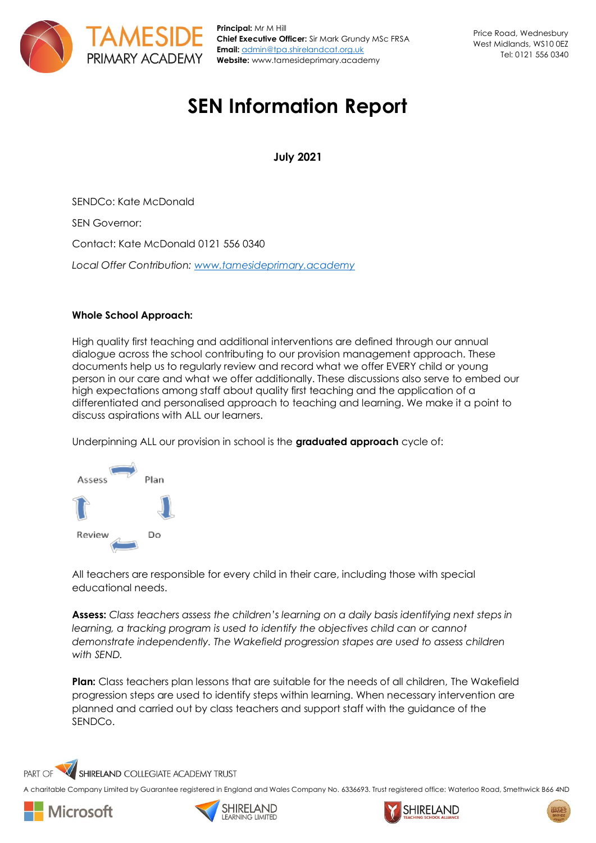

**Principal:** Mr M Hill **Chief Executive Officer:** Sir Mark Grundy MSc FRSA **Email:** [admin@tpa.shirelandcat.org.uk](mailto:admin@tpa.shirelandcat.org.uk) **Website:** www.tamesideprimary.academy

# **SEN Information Report**

**July 2021**

SENDCo: Kate McDonald SEN Governor: Contact: Kate McDonald 0121 556 0340 *Local Offer Contribution: [www.tamesideprimary.academy](http://www.tamesideprimary.academy/)*

# **Whole School Approach:**

High quality first teaching and additional interventions are defined through our annual dialogue across the school contributing to our provision management approach. These documents help us to regularly review and record what we offer EVERY child or young person in our care and what we offer additionally. These discussions also serve to embed our high expectations among staff about quality first teaching and the application of a differentiated and personalised approach to teaching and learning. We make it a point to discuss aspirations with ALL our learners.

Underpinning ALL our provision in school is the **graduated approach** cycle of:



All teachers are responsible for every child in their care, including those with special educational needs.

**Assess:** *Class teachers assess the children's learning on a daily basis identifying next steps in learning, a tracking program is used to identify the objectives child can or cannot demonstrate independently. The Wakefield progression stapes are used to assess children with SEND.* 

**Plan:** Class teachers plan lessons that are suitable for the needs of all children, The Wakefield progression steps are used to identify steps within learning. When necessary intervention are planned and carried out by class teachers and support staff with the guidance of the SENDCo.

SHIRELAND COLLEGIATE ACADEMY TRUST PART OF

A charitable Company Limited by Guarantee registered in England and Wales Company No. 6336693. Trust registered office: Waterloo Road, Smethwick B66 4ND







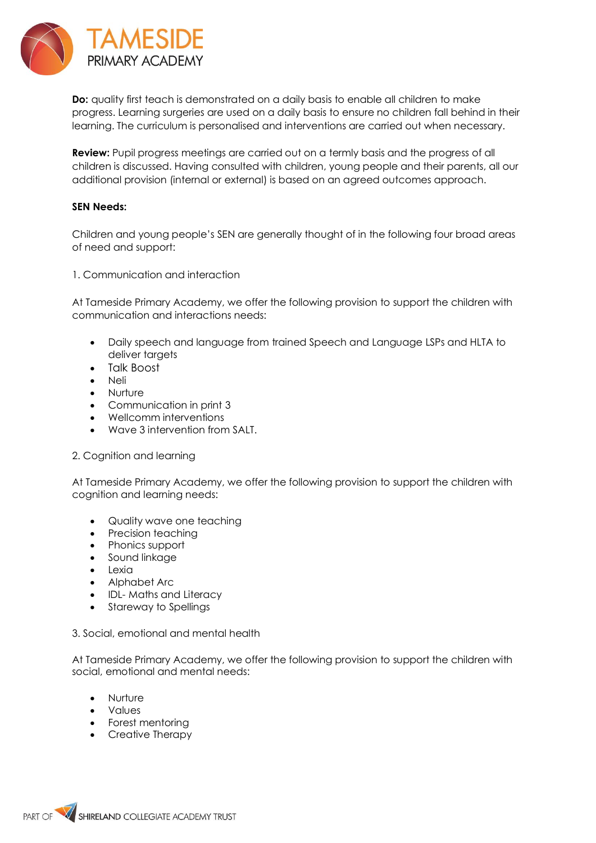

**Do:** quality first teach is demonstrated on a daily basis to enable all children to make progress. Learning surgeries are used on a daily basis to ensure no children fall behind in their learning. The curriculum is personalised and interventions are carried out when necessary.

**Review:** Pupil progress meetings are carried out on a termly basis and the progress of all children is discussed. Having consulted with children, young people and their parents, all our additional provision (internal or external) is based on an agreed outcomes approach.

## **SEN Needs:**

Children and young people's SEN are generally thought of in the following four broad areas of need and support:

1. Communication and interaction

At Tameside Primary Academy, we offer the following provision to support the children with communication and interactions needs:

- Daily speech and language from trained Speech and Language LSPs and HLTA to deliver targets
- Talk Boost
- Neli
- Nurture
- Communication in print 3
- Wellcomm interventions
- Wave 3 intervention from SALT.

## 2. Cognition and learning

At Tameside Primary Academy, we offer the following provision to support the children with cognition and learning needs:

- Quality wave one teaching<br>• Precision teaching
- Precision teaching
- Phonics support
- Sound linkage
- Lexia
- Alphabet Arc
- IDL- Maths and Literacy
- Stareway to Spellings

3. Social, emotional and mental health

At Tameside Primary Academy, we offer the following provision to support the children with social, emotional and mental needs:

- Nurture
- Values
- Forest mentoring
- Creative Therapy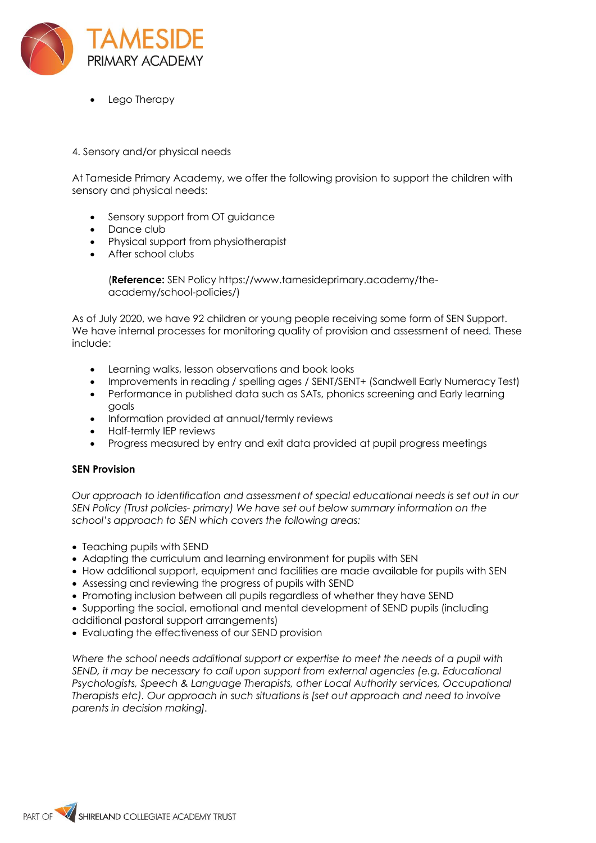

• Lego Therapy

# 4. Sensory and/or physical needs

At Tameside Primary Academy, we offer the following provision to support the children with sensory and physical needs:

- Sensory support from OT guidance
- Dance club
- Physical support from physiotherapist
- After school clubs

(**Reference:** SEN Policy https://www.tamesideprimary.academy/theacademy/school-policies*/*)

As of July 2020, we have 92 children or young people receiving some form of SEN Support. We have internal processes for monitoring quality of provision and assessment of need*.* These include:

- Learning walks, lesson observations and book looks
- Improvements in reading / spelling ages / SENT/SENT+ (Sandwell Early Numeracy Test)
- Performance in published data such as SATs, phonics screening and Early learning goals
- Information provided at annual/termly reviews
- Half-termly IEP reviews
- Progress measured by entry and exit data provided at pupil progress meetings

## **SEN Provision**

*Our approach to identification and assessment of special educational needs is set out in our SEN Policy (Trust policies- primary) We have set out below summary information on the school's approach to SEN which covers the following areas:* 

- Teaching pupils with SEND
- Adapting the curriculum and learning environment for pupils with SEN
- How additional support, equipment and facilities are made available for pupils with SEN
- Assessing and reviewing the progress of pupils with SEND
- Promoting inclusion between all pupils regardless of whether they have SEND
- Supporting the social, emotional and mental development of SEND pupils (including additional pastoral support arrangements)
- Evaluating the effectiveness of our SEND provision

*Where the school needs additional support or expertise to meet the needs of a pupil with SEND, it may be necessary to call upon support from external agencies (e.g. Educational Psychologists, Speech & Language Therapists, other Local Authority services, Occupational Therapists etc). Our approach in such situations is [set out approach and need to involve parents in decision making].*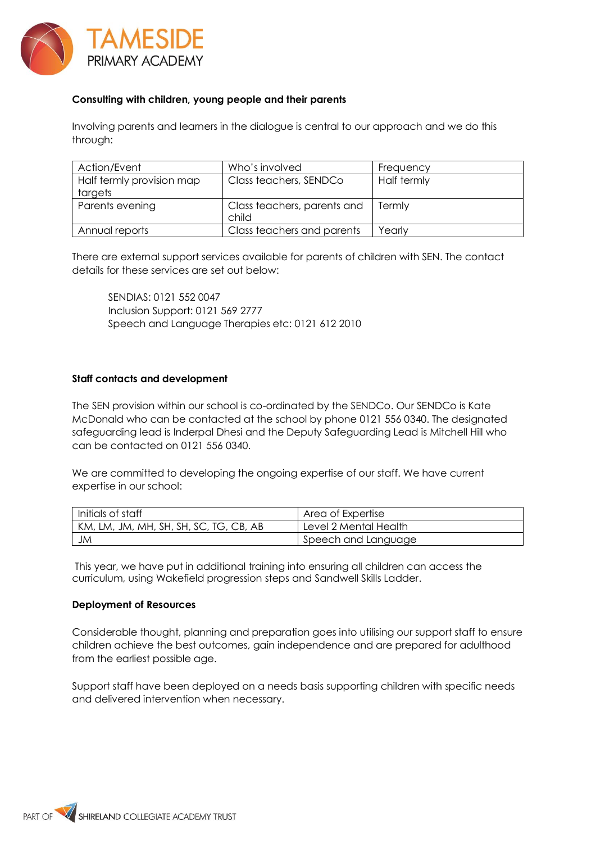

# **Consulting with children, young people and their parents**

Involving parents and learners in the dialogue is central to our approach and we do this through:

| Action/Event              | Who's involved              | Frequency   |
|---------------------------|-----------------------------|-------------|
| Half termly provision map | Class teachers, SENDCo      | Half termly |
| targets                   |                             |             |
| Parents evening           | Class teachers, parents and | Termly      |
|                           | child                       |             |
| Annual reports            | Class teachers and parents  | Yearly      |

There are external support services available for parents of children with SEN. The contact details for these services are set out below:

SENDIAS: 0121 552 0047 Inclusion Support: 0121 569 2777 Speech and Language Therapies etc: 0121 612 2010

## **Staff contacts and development**

The SEN provision within our school is co-ordinated by the SENDCo. Our SENDCo is Kate McDonald who can be contacted at the school by phone 0121 556 0340. The designated safeguarding lead is Inderpal Dhesi and the Deputy Safeguarding Lead is Mitchell Hill who can be contacted on 0121 556 0340.

We are committed to developing the ongoing expertise of our staff. We have current expertise in our school:

| Initials of staff                      | Area of Expertise     |
|----------------------------------------|-----------------------|
| KM, LM, JM, MH, SH, SH, SC, TG, CB, AB | Level 2 Mental Health |
| JM                                     | Speech and Language   |

This year, we have put in additional training into ensuring all children can access the curriculum, using Wakefield progression steps and Sandwell Skills Ladder.

#### **Deployment of Resources**

Considerable thought, planning and preparation goes into utilising our support staff to ensure children achieve the best outcomes, gain independence and are prepared for adulthood from the earliest possible age.

Support staff have been deployed on a needs basis supporting children with specific needs and delivered intervention when necessary.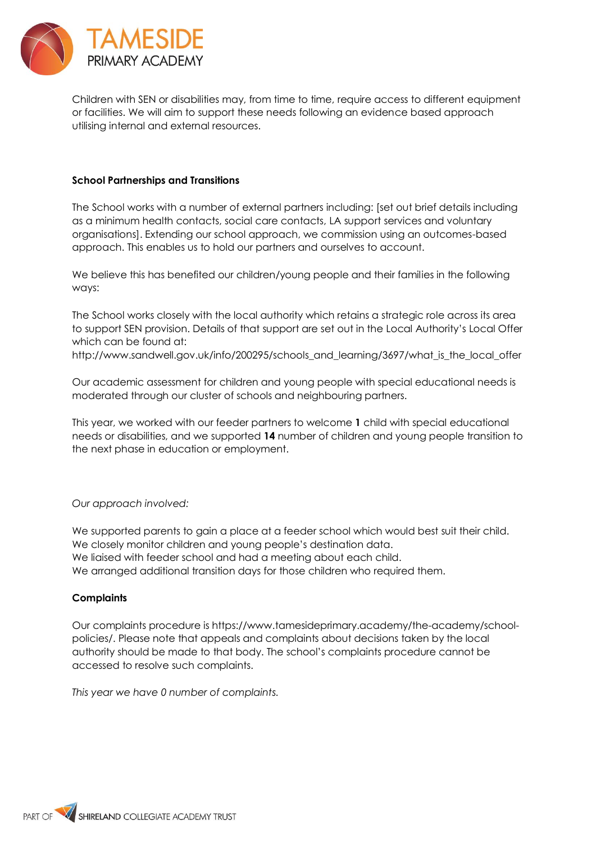

Children with SEN or disabilities may, from time to time, require access to different equipment or facilities. We will aim to support these needs following an evidence based approach utilising internal and external resources.

## **School Partnerships and Transitions**

The School works with a number of external partners including: [set out brief details including as a minimum health contacts, social care contacts, LA support services and voluntary organisations]. Extending our school approach, we commission using an outcomes-based approach. This enables us to hold our partners and ourselves to account.

We believe this has benefited our children/young people and their families in the following ways:

The School works closely with the local authority which retains a strategic role across its area to support SEN provision. Details of that support are set out in the Local Authority's Local Offer which can be found at:

http://www.sandwell.gov.uk/info/200295/schools\_and\_learning/3697/what\_is\_the\_local\_offer

Our academic assessment for children and young people with special educational needs is moderated through our cluster of schools and neighbouring partners.

This year, we worked with our feeder partners to welcome **1** child with special educational needs or disabilities, and we supported **14** number of children and young people transition to the next phase in education or employment.

*Our approach involved:* 

We supported parents to gain a place at a feeder school which would best suit their child. We closely monitor children and young people's destination data. We liaised with feeder school and had a meeting about each child. We arranged additional transition days for those children who required them.

## **Complaints**

Our complaints procedure is https://www.tamesideprimary.academy/the-academy/schoolpolicies/. Please note that appeals and complaints about decisions taken by the local authority should be made to that body. The school's complaints procedure cannot be accessed to resolve such complaints.

*This year we have 0 number of complaints.*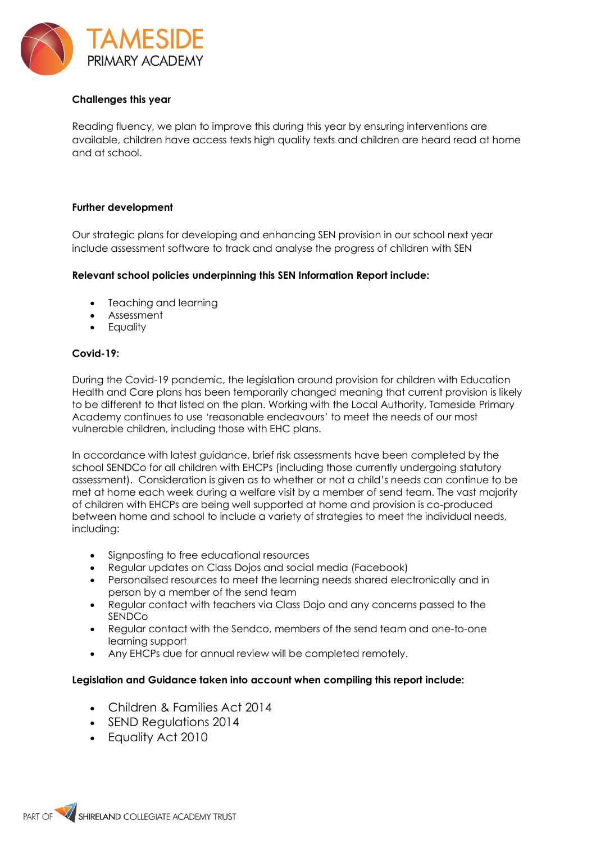

# **Challenges this year**

Reading fluency, we plan to improve this during this year by ensuring interventions are available, children have access texts high quality texts and children are heard read at home and at school.

### **Further development**

Our strategic plans for developing and enhancing SEN provision in our school next year include assessment software to track and analyse the progress of children with SEN

## **Relevant school policies underpinning this SEN Information Report include:**

- Teaching and learning
- Assessment
- Equality

### **Covid-19:**

During the Covid-19 pandemic, the legislation around provision for children with Education Health and Care plans has been temporarily changed meaning that current provision is likely to be different to that listed on the plan. Working with the Local Authority, Tameside Primary Academy continues to use 'reasonable endeavours' to meet the needs of our most vulnerable children, including those with EHC plans.

In accordance with latest guidance, brief risk assessments have been completed by the school SENDCo for all children with EHCPs (including those currently undergoing statutory assessment). Consideration is given as to whether or not a child's needs can continue to be met at home each week during a welfare visit by a member of send team. The vast majority of children with EHCPs are being well supported at home and provision is co-produced between home and school to include a variety of strategies to meet the individual needs, including:

- Signposting to free educational resources
- Regular updates on Class Dojos and social media (Facebook)
- Personailsed resources to meet the learning needs shared electronically and in person by a member of the send team
- Regular contact with teachers via Class Dojo and any concerns passed to the SENDCo
- Regular contact with the Sendco, members of the send team and one-to-one learning support
- Any EHCPs due for annual review will be completed remotely.

## **Legislation and Guidance taken into account when compiling this report include:**

- Children & Families Act 2014
- SEND Regulations 2014
- Equality Act 2010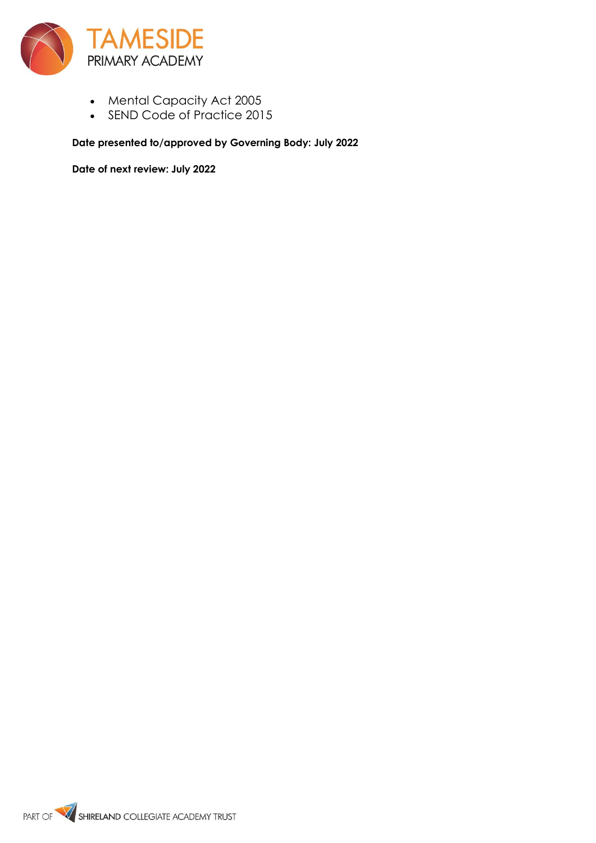

- Mental Capacity Act 2005
- SEND Code of Practice 2015

**Date presented to/approved by Governing Body: July 2022**

**Date of next review: July 2022**